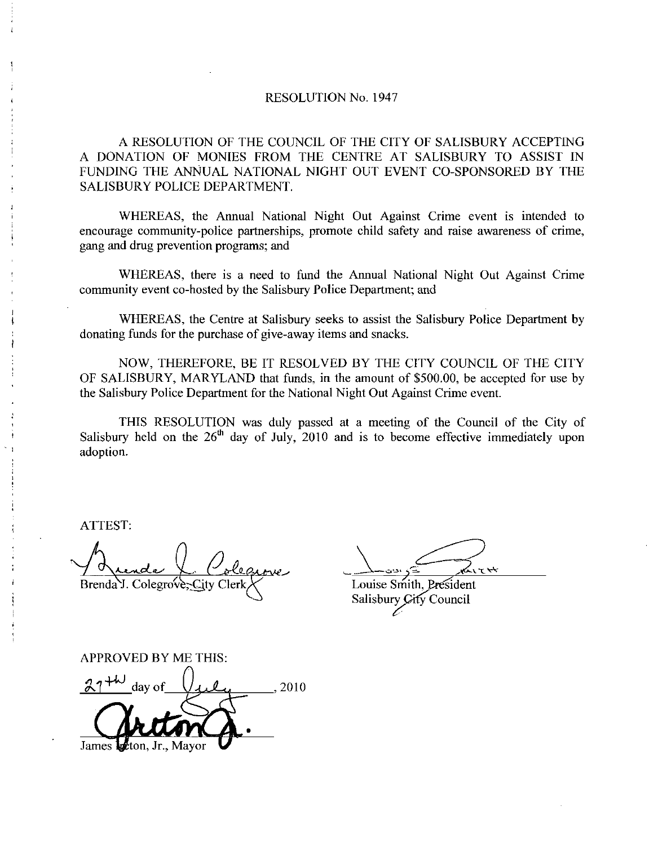## RESOLUTION No. 1947

A RESOLUTION OF THE COUNCIL OF THE CITY OF SALISBURY ACCEPTING A DONATION OF MONIES FROM THE CENTRE AT SALISBURY TO ASSIST IN A RESOLUTION OF THE COUNCIL OF THE CITY OF SALISBURY ACCEPTING<br>A DONATION OF MONIES FROM THE CENTRE AT SALISBURY TO ASSIST IN<br>FUNDING THE ANNUAL NATIONAL NIGHT OUT EVENT CO-SPONSORED BY THE<br>SALISBURY POLICE DEPARTMENT. SALISBURY POLICE DEPARTMENT

WHEREAS, the Annual National Night Out Against Crime event is intended to encourage community-police partnerships, promote child safety and raise awareness of crime, gang and drug prevention programs; and

WHEREAS, there is a need to fund the Annual National Night Out Against Crime community event co-hosted by the Salisbury Police Department; and

WHEREAS, the Centre at Salisbury seeks to assist the Salisbury Police Department by donating funds for the purchase of give-away items and snacks.

NOW, THEREFORE, BE IT RESOLVED BY THE CITY COUNCIL OF THE CITY OF SALISBURY, MARYLAND that funds, in the amount of \$500.00, be accepted for use by the Salisbury Police Department for the National Night Out Against Crime event.

THIS RESOLUTION was duly passed at a meeting of the Council of the City of Salisbury held on the  $26<sup>th</sup>$  day of July, 2010 and is to become effective immediately upon adoption

ATTEST

 $\overline{a}$ Brenda<sup>Y</sup>. Colegrove

 $\frac{1}{2}$ 

Louise Smith, President Salisbury City Council

APPROVED BY ME THIS $\frac{27^{+\omega}}{\omega}$  day of  $\sqrt{\omega}$ , 2010 James ton, Jr., Mayor